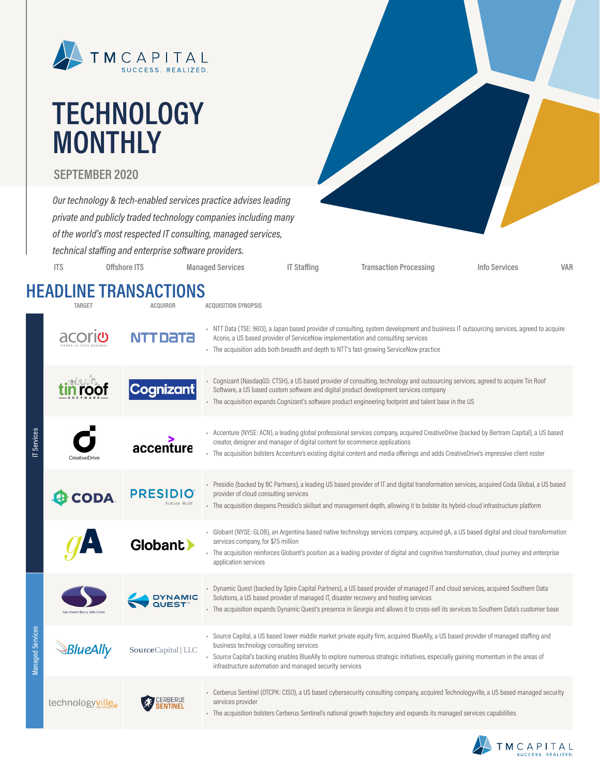

# **TECHNOLOGY MONTHLY**

#### **SEPTEMBER 2020**

*Our technology & tech-enabled services practice advises leading private and publicly traded technology companies including many of the world's most respected IT consulting, managed services, technical staffing and enterprise software providers.* **ITS Offshore ITS Managed Services IT Staffing Transaction Processing Info Services VAR**

### **HEADLINE TRANSACTIONS**

|          | <b>TARGET</b>                  | <b>ACQUIROR</b>                 | <b>ACQUISITION SYNOPSIS</b>                                                                                                                                                                                                                                                                                                                                                    |  |
|----------|--------------------------------|---------------------------------|--------------------------------------------------------------------------------------------------------------------------------------------------------------------------------------------------------------------------------------------------------------------------------------------------------------------------------------------------------------------------------|--|
|          | aco                            | Data                            | - NTT Data (TSE: 9613), a Japan based provider of consulting, system development and business IT outsourcing services, agreed to acquire<br>Acorio, a US based provider of ServiceNow implementation and consulting services<br>- The acquisition adds both breadth and depth to NTT's fast-growing ServiceNow practice                                                        |  |
|          | HIMAN Ma                       | <b>Cognizant</b>                | - Cognizant (NasdaqGS: CTSH), a US based provider of consulting, technology and outsourcing services, agreed to acquire Tin Roof<br>Software, a US based custom software and digital product development services company<br>- The acquisition expands Cognizant's software product engineering footprint and talent base in the US                                            |  |
| Servi    | CreativeDriv                   | accenture                       | - Accenture (NYSE: ACN), a leading global professional services company, acquired CreativeDrive (backed by Bertram Capital), a US based<br>creator, designer and manager of digital content for ecommerce applications<br>- The acquisition bolsters Accenture's existing digital content and media offerings and adds CreativeDrive's impressive client roster                |  |
|          | <b>CODA</b>                    | <b>PRESIDIO</b><br>Future Built | - Presidio (backed by BC Partners), a leading US based provider of IT and digital transformation services, acquired Coda Global, a US based<br>provider of cloud consulting services<br>- The acquisition deepens Presidio's skillset and management depth, allowing it to bolster its hybrid-cloud infrastructure platform                                                    |  |
|          |                                | Globant >                       | - Globant (NYSE: GLOB), an Argentina based native technology services company, acquired gA, a US based digital and cloud transformation<br>services company, for \$75 million<br>- The acquisition reinforces Globant's position as a leading provider of digital and cognitive transformation, cloud journey and enterprise<br>application services                           |  |
|          | <b>Southern Data Solutions</b> | DYNAMIC<br>QUEST™               | · Dynamic Quest (backed by Spire Capital Partners), a US based provider of managed IT and cloud services, acquired Southern Data<br>Solutions, a US based provider of managed IT, disaster recovery and hosting services<br>- The acquisition expands Dynamic Quest's presence in Georgia and allows it to cross-sell its services to Southern Data's customer base            |  |
| Services | <i><b>BlueAlly</b></i>         | SourceCapital   LLC             | - Source Capital, a US based lower middle market private equity firm, acquired BlueAlly, a US based provider of managed staffing and<br>business technology consulting services<br>Source Capital's backing enables BlueAlly to explore numerous strategic initiatives, especially gaining momentum in the areas of<br>infrastructure automation and managed security services |  |
|          | technologyville.               |                                 | - Cerberus Sentinel (OTCPK: CISO), a US based cybersecurity consulting company, acquired Technologyville, a US based managed security<br>services provider<br>- The acquisition bolsters Cerberus Sentinel's national growth trajectory and expands its managed services capabilities                                                                                          |  |

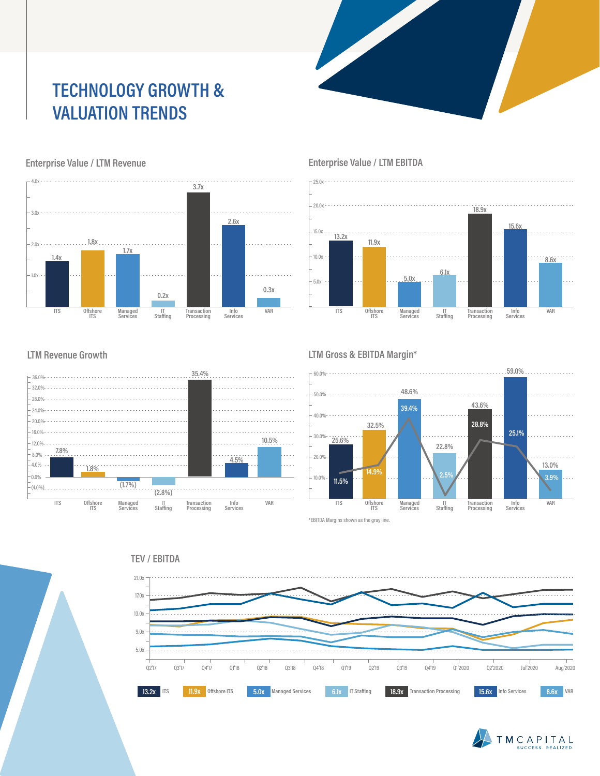### **TECHNOLOGY GROWTH & VALUATION TRENDS**



#### Enterprise Value / LTM Revenue **Enterprise Value / LTM EBITDA**

25.0x



#### **LTM Revenue Growth**



#### **LTM Gross & EBITDA Margin\***



\*EBITDA Margins shown as the gray line.